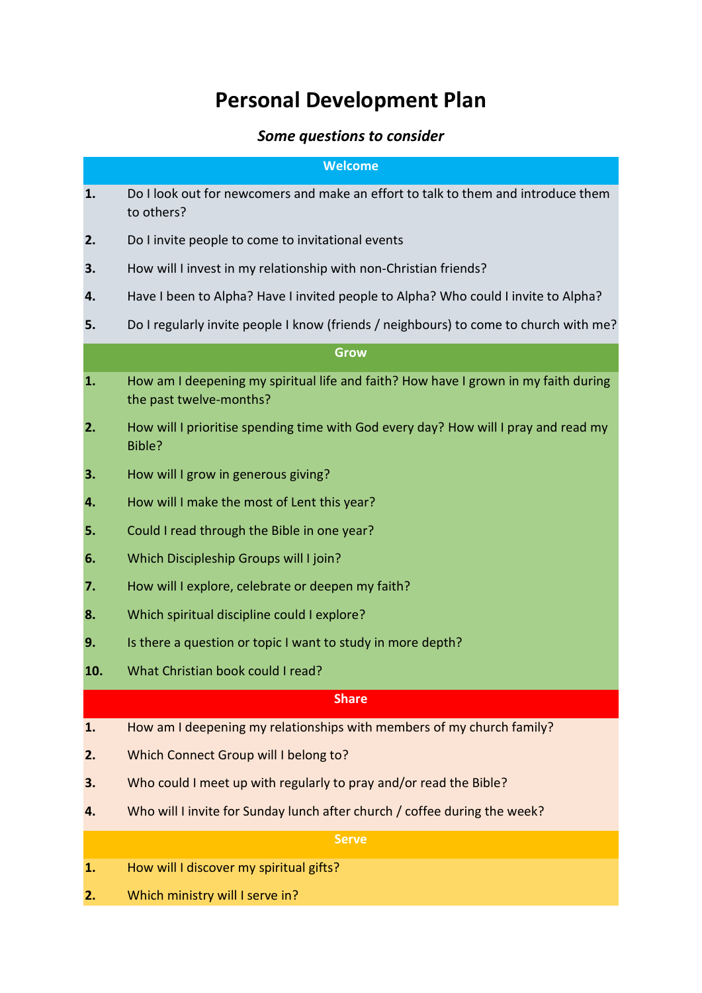## **Personal Development Plan**

### *Some questions to consider*

#### **Welcome**

- **1.** Do I look out for newcomers and make an effort to talk to them and introduce them to others? **2.** Do I invite people to come to invitational events **3.** How will I invest in my relationship with non-Christian friends? **4.** Have I been to Alpha? Have I invited people to Alpha? Who could I invite to Alpha? **5.** Do I regularly invite people I know (friends / neighbours) to come to church with me? **Grow 1.** How am I deepening my spiritual life and faith? How have I grown in my faith during the past twelve-months?
- **2.** How will I prioritise spending time with God every day? How will I pray and read my Bible?
- **3.** How will I grow in generous giving?
- **4.** How will I make the most of Lent this year?
- **5.** Could I read through the Bible in one year?
- **6.** Which Discipleship Groups will I join?
- **7.** How will I explore, celebrate or deepen my faith?
- **8.** Which spiritual discipline could I explore?
- **9.** Is there a question or topic I want to study in more depth?
- **10.** What Christian book could I read?

#### **Share**

- **1.** How am I deepening my relationships with members of my church family?
- **2.** Which Connect Group will I belong to?
- **3.** Who could I meet up with regularly to pray and/or read the Bible?
- **4.** Who will I invite for Sunday lunch after church / coffee during the week?

#### **Serve**

- **1.** How will I discover my spiritual gifts?
- **2.** Which ministry will I serve in?